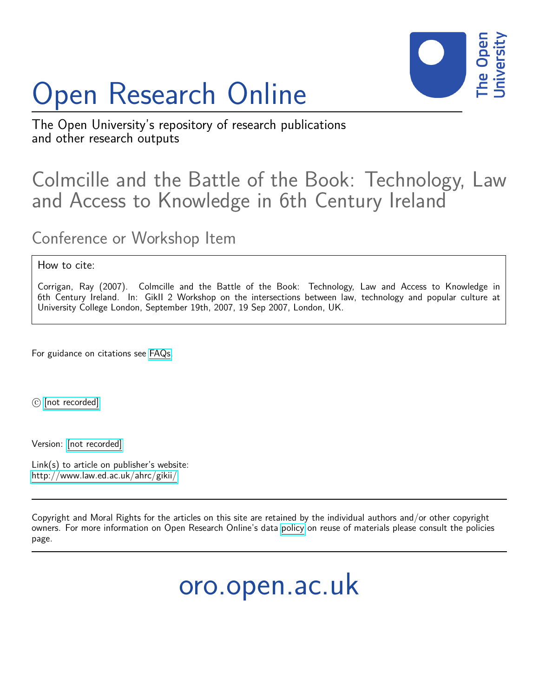# Open Research Online



The Open University's repository of research publications and other research outputs

## Colmcille and the Battle of the Book: Technology, Law and Access to Knowledge in 6th Century Ireland

### Conference or Workshop Item

#### How to cite:

Corrigan, Ray (2007). Colmcille and the Battle of the Book: Technology, Law and Access to Knowledge in 6th Century Ireland. In: GikII 2 Workshop on the intersections between law, technology and popular culture at University College London, September 19th, 2007, 19 Sep 2007, London, UK.

For guidance on citations see [FAQs.](http://oro.open.ac.uk/help/helpfaq.html)

c [\[not recorded\]](http://oro.open.ac.uk/help/helpfaq.html#Unrecorded_information_on_coversheet)

Version: [\[not recorded\]](http://oro.open.ac.uk/help/helpfaq.html#Unrecorded_information_on_coversheet)

Link(s) to article on publisher's website: <http://www.law.ed.ac.uk/ahrc/gikii/>

Copyright and Moral Rights for the articles on this site are retained by the individual authors and/or other copyright owners. For more information on Open Research Online's data [policy](http://oro.open.ac.uk/policies.html) on reuse of materials please consult the policies page.

oro.open.ac.uk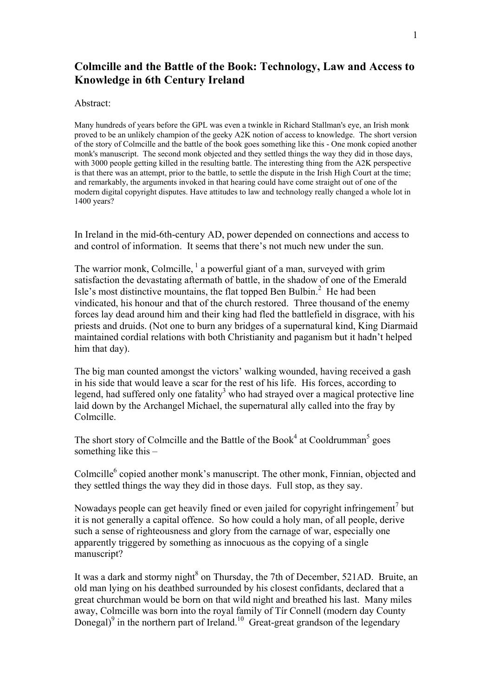#### **Colmcille and the Battle of the Book: Technology, Law and Access to Knowledge in 6th Century Ireland**

#### Abstract:

Many hundreds of years before the GPL was even a twinkle in Richard Stallman's eye, an Irish monk proved to be an unlikely champion of the geeky A2K notion of access to knowledge. The short version of the story of Colmcille and the battle of the book goes something like this - One monk copied another monk's manuscript. The second monk objected and they settled things the way they did in those days, with 3000 people getting killed in the resulting battle. The interesting thing from the A2K perspective is that there was an attempt, prior to the battle, to settle the dispute in the Irish High Court at the time; and remarkably, the arguments invoked in that hearing could have come straight out of one of the modern digital copyright disputes. Have attitudes to law and technology really changed a whole lot in 1400 years?

In Ireland in the mid-6th-century AD, power depended on connections and access to and control of information. It seems that there's not much new under the sun.

The warrior monk, Colmcille,  $\frac{1}{2}$  a powerful giant of a man, surveyed with grim satisfaction the devastating aftermath of battle, in the shadow of one of the Emerald Isle's most distinctive mountains, the flat topped Ben Bulbin. $<sup>2</sup>$  He had been</sup> vindicated, his honour and that of the church restored. Three thousand of the enemy forces lay dead around him and their king had fled the battlefield in disgrace, with his priests and druids. (Not one to burn any bridges of a supernatural kind, King Diarmaid maintained cordial relations with both Christianity and paganism but it hadn't helped him that day).

The big man counted amongst the victors' walking wounded, having received a gash in his side that would leave a scar for the rest of his life. His forces, according to legend, had suffered only one fatality<sup>3</sup> who had strayed over a magical protective line laid down by the Archangel Michael, the supernatural ally called into the fray by Colmcille.

The short story of Colmcille and the Battle of the Book<sup>4</sup> at Cooldrumman<sup>5</sup> goes something like this –

Colmcille<sup>6</sup> copied another monk's manuscript. The other monk, Finnian, objected and they settled things the way they did in those days. Full stop, as they say.

Nowadays people can get heavily fined or even jailed for copyright infringement<sup>7</sup> but it is not generally a capital offence. So how could a holy man, of all people, derive such a sense of righteousness and glory from the carnage of war, especially one apparently triggered by something as innocuous as the copying of a single manuscript?

It was a dark and stormy night<sup>8</sup> on Thursday, the 7th of December, 521AD. Bruite, an old man lying on his deathbed surrounded by his closest confidants, declared that a great churchman would be born on that wild night and breathed his last. Many miles away, Colmcille was born into the royal family of Tír Connell (modern day County Donegal) $^9$  in the northern part of Ireland.<sup>10</sup> Great-great grandson of the legendary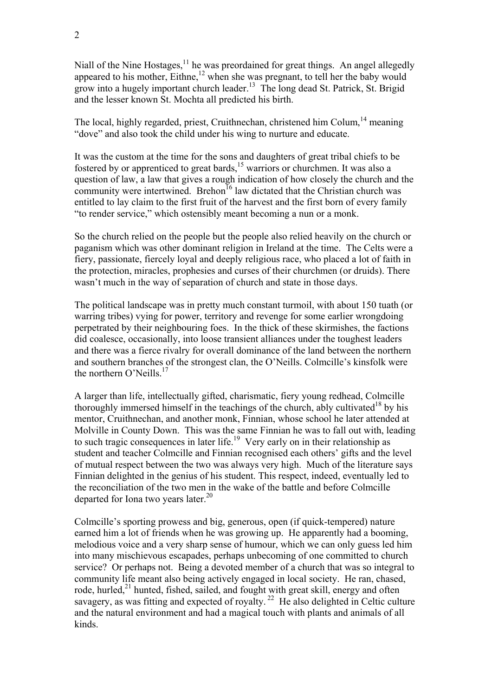Niall of the Nine Hostages,  $11$  he was preordained for great things. An angel allegedly appeared to his mother,  $Eithne<sub>12</sub>$ , when she was pregnant, to tell her the baby would grow into a hugely important church leader.13 The long dead St. Patrick, St. Brigid and the lesser known St. Mochta all predicted his birth.

The local, highly regarded, priest, Cruithnechan, christened him Colum,<sup>14</sup> meaning "dove" and also took the child under his wing to nurture and educate.

It was the custom at the time for the sons and daughters of great tribal chiefs to be fostered by or apprenticed to great bards,  $15$  warriors or churchmen. It was also a question of law, a law that gives a rough indication of how closely the church and the community were intertwined. Brehon<sup>16</sup> law dictated that the Christian church was entitled to lay claim to the first fruit of the harvest and the first born of every family "to render service," which ostensibly meant becoming a nun or a monk.

So the church relied on the people but the people also relied heavily on the church or paganism which was other dominant religion in Ireland at the time. The Celts were a fiery, passionate, fiercely loyal and deeply religious race, who placed a lot of faith in the protection, miracles, prophesies and curses of their churchmen (or druids). There wasn't much in the way of separation of church and state in those days.

The political landscape was in pretty much constant turmoil, with about 150 tuath (or warring tribes) vying for power, territory and revenge for some earlier wrongdoing perpetrated by their neighbouring foes. In the thick of these skirmishes, the factions did coalesce, occasionally, into loose transient alliances under the toughest leaders and there was a fierce rivalry for overall dominance of the land between the northern and southern branches of the strongest clan, the O'Neills. Colmcille's kinsfolk were the northern O'Neills.<sup>17</sup>

A larger than life, intellectually gifted, charismatic, fiery young redhead, Colmcille thoroughly immersed himself in the teachings of the church, ably cultivated<sup>18</sup> by his mentor, Cruithnechan, and another monk, Finnian, whose school he later attended at Molville in County Down. This was the same Finnian he was to fall out with, leading to such tragic consequences in later life.<sup>19</sup> Very early on in their relationship as student and teacher Colmcille and Finnian recognised each others' gifts and the level of mutual respect between the two was always very high. Much of the literature says Finnian delighted in the genius of his student. This respect, indeed, eventually led to the reconciliation of the two men in the wake of the battle and before Colmcille departed for Iona two years later. $^{20}$ 

Colmcille's sporting prowess and big, generous, open (if quick-tempered) nature earned him a lot of friends when he was growing up. He apparently had a booming, melodious voice and a very sharp sense of humour, which we can only guess led him into many mischievous escapades, perhaps unbecoming of one committed to church service? Or perhaps not. Being a devoted member of a church that was so integral to community life meant also being actively engaged in local society. He ran, chased, rode, hurled,<sup>21</sup> hunted, fished, sailed, and fought with great skill, energy and often savagery, as was fitting and expected of royalty.<sup>22</sup> He also delighted in Celtic culture and the natural environment and had a magical touch with plants and animals of all kinds.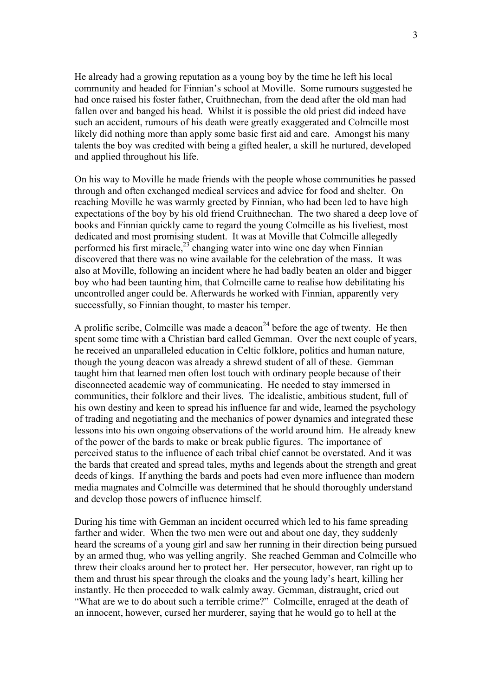He already had a growing reputation as a young boy by the time he left his local community and headed for Finnian's school at Moville. Some rumours suggested he had once raised his foster father, Cruithnechan, from the dead after the old man had fallen over and banged his head. Whilst it is possible the old priest did indeed have such an accident, rumours of his death were greatly exaggerated and Colmcille most likely did nothing more than apply some basic first aid and care. Amongst his many talents the boy was credited with being a gifted healer, a skill he nurtured, developed and applied throughout his life.

On his way to Moville he made friends with the people whose communities he passed through and often exchanged medical services and advice for food and shelter. On reaching Moville he was warmly greeted by Finnian, who had been led to have high expectations of the boy by his old friend Cruithnechan. The two shared a deep love of books and Finnian quickly came to regard the young Colmcille as his liveliest, most dedicated and most promising student. It was at Moville that Colmcille allegedly performed his first miracle, $23$  changing water into wine one day when Finnian discovered that there was no wine available for the celebration of the mass. It was also at Moville, following an incident where he had badly beaten an older and bigger boy who had been taunting him, that Colmcille came to realise how debilitating his uncontrolled anger could be. Afterwards he worked with Finnian, apparently very successfully, so Finnian thought, to master his temper.

A prolific scribe, Colmcille was made a deacon<sup>24</sup> before the age of twenty. He then spent some time with a Christian bard called Gemman. Over the next couple of years, he received an unparalleled education in Celtic folklore, politics and human nature, though the young deacon was already a shrewd student of all of these. Gemman taught him that learned men often lost touch with ordinary people because of their disconnected academic way of communicating. He needed to stay immersed in communities, their folklore and their lives. The idealistic, ambitious student, full of his own destiny and keen to spread his influence far and wide, learned the psychology of trading and negotiating and the mechanics of power dynamics and integrated these lessons into his own ongoing observations of the world around him. He already knew of the power of the bards to make or break public figures. The importance of perceived status to the influence of each tribal chief cannot be overstated. And it was the bards that created and spread tales, myths and legends about the strength and great deeds of kings. If anything the bards and poets had even more influence than modern media magnates and Colmcille was determined that he should thoroughly understand and develop those powers of influence himself.

During his time with Gemman an incident occurred which led to his fame spreading farther and wider. When the two men were out and about one day, they suddenly heard the screams of a young girl and saw her running in their direction being pursued by an armed thug, who was yelling angrily. She reached Gemman and Colmcille who threw their cloaks around her to protect her. Her persecutor, however, ran right up to them and thrust his spear through the cloaks and the young lady's heart, killing her instantly. He then proceeded to walk calmly away. Gemman, distraught, cried out "What are we to do about such a terrible crime?" Colmcille, enraged at the death of an innocent, however, cursed her murderer, saying that he would go to hell at the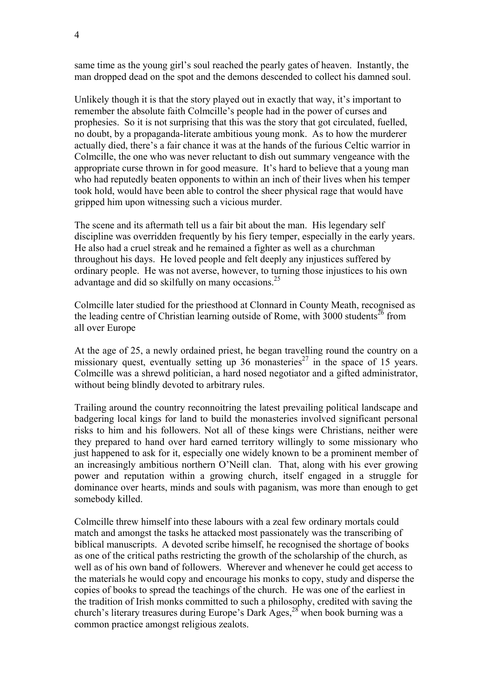same time as the young girl's soul reached the pearly gates of heaven. Instantly, the man dropped dead on the spot and the demons descended to collect his damned soul.

Unlikely though it is that the story played out in exactly that way, it's important to remember the absolute faith Colmcille's people had in the power of curses and prophesies. So it is not surprising that this was the story that got circulated, fuelled, no doubt, by a propaganda-literate ambitious young monk. As to how the murderer actually died, there's a fair chance it was at the hands of the furious Celtic warrior in Colmcille, the one who was never reluctant to dish out summary vengeance with the appropriate curse thrown in for good measure. It's hard to believe that a young man who had reputedly beaten opponents to within an inch of their lives when his temper took hold, would have been able to control the sheer physical rage that would have gripped him upon witnessing such a vicious murder.

The scene and its aftermath tell us a fair bit about the man. His legendary self discipline was overridden frequently by his fiery temper, especially in the early years. He also had a cruel streak and he remained a fighter as well as a churchman throughout his days. He loved people and felt deeply any injustices suffered by ordinary people. He was not averse, however, to turning those injustices to his own advantage and did so skilfully on many occasions.<sup>25</sup>

Colmcille later studied for the priesthood at Clonnard in County Meath, recognised as the leading centre of Christian learning outside of Rome, with  $3000$  students<sup>26</sup> from all over Europe

At the age of 25, a newly ordained priest, he began travelling round the country on a missionary quest, eventually setting up  $36$  monasteries<sup>27</sup> in the space of 15 years. Colmcille was a shrewd politician, a hard nosed negotiator and a gifted administrator, without being blindly devoted to arbitrary rules.

Trailing around the country reconnoitring the latest prevailing political landscape and badgering local kings for land to build the monasteries involved significant personal risks to him and his followers. Not all of these kings were Christians, neither were they prepared to hand over hard earned territory willingly to some missionary who just happened to ask for it, especially one widely known to be a prominent member of an increasingly ambitious northern O'Neill clan. That, along with his ever growing power and reputation within a growing church, itself engaged in a struggle for dominance over hearts, minds and souls with paganism, was more than enough to get somebody killed.

Colmcille threw himself into these labours with a zeal few ordinary mortals could match and amongst the tasks he attacked most passionately was the transcribing of biblical manuscripts. A devoted scribe himself, he recognised the shortage of books as one of the critical paths restricting the growth of the scholarship of the church, as well as of his own band of followers. Wherever and whenever he could get access to the materials he would copy and encourage his monks to copy, study and disperse the copies of books to spread the teachings of the church. He was one of the earliest in the tradition of Irish monks committed to such a philosophy, credited with saving the church's literary treasures during Europe's Dark Ages,  $28$  when book burning was a common practice amongst religious zealots.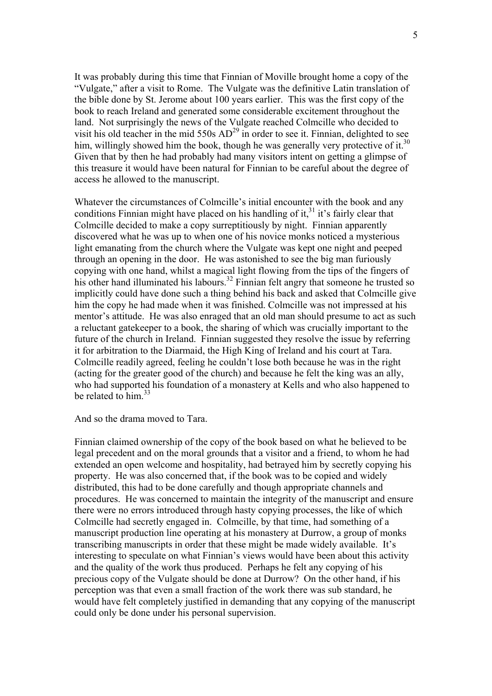It was probably during this time that Finnian of Moville brought home a copy of the "Vulgate," after a visit to Rome. The Vulgate was the definitive Latin translation of the bible done by St. Jerome about 100 years earlier. This was the first copy of the book to reach Ireland and generated some considerable excitement throughout the land. Not surprisingly the news of the Vulgate reached Colmcille who decided to visit his old teacher in the mid  $550s AD<sup>29</sup>$  in order to see it. Finnian, delighted to see him, willingly showed him the book, though he was generally very protective of it.<sup>30</sup> Given that by then he had probably had many visitors intent on getting a glimpse of this treasure it would have been natural for Finnian to be careful about the degree of access he allowed to the manuscript.

Whatever the circumstances of Colmcille's initial encounter with the book and any conditions Finnian might have placed on his handling of it, $31$  it's fairly clear that Colmcille decided to make a copy surreptitiously by night. Finnian apparently discovered what he was up to when one of his novice monks noticed a mysterious light emanating from the church where the Vulgate was kept one night and peeped through an opening in the door. He was astonished to see the big man furiously copying with one hand, whilst a magical light flowing from the tips of the fingers of his other hand illuminated his labours.<sup>32</sup> Finnian felt angry that someone he trusted so implicitly could have done such a thing behind his back and asked that Colmcille give him the copy he had made when it was finished. Colmcille was not impressed at his mentor's attitude. He was also enraged that an old man should presume to act as such a reluctant gatekeeper to a book, the sharing of which was crucially important to the future of the church in Ireland. Finnian suggested they resolve the issue by referring it for arbitration to the Diarmaid, the High King of Ireland and his court at Tara. Colmcille readily agreed, feeling he couldn't lose both because he was in the right (acting for the greater good of the church) and because he felt the king was an ally, who had supported his foundation of a monastery at Kells and who also happened to be related to him  $33$ 

And so the drama moved to Tara.

Finnian claimed ownership of the copy of the book based on what he believed to be legal precedent and on the moral grounds that a visitor and a friend, to whom he had extended an open welcome and hospitality, had betrayed him by secretly copying his property. He was also concerned that, if the book was to be copied and widely distributed, this had to be done carefully and though appropriate channels and procedures. He was concerned to maintain the integrity of the manuscript and ensure there were no errors introduced through hasty copying processes, the like of which Colmcille had secretly engaged in. Colmcille, by that time, had something of a manuscript production line operating at his monastery at Durrow, a group of monks transcribing manuscripts in order that these might be made widely available. It's interesting to speculate on what Finnian's views would have been about this activity and the quality of the work thus produced. Perhaps he felt any copying of his precious copy of the Vulgate should be done at Durrow? On the other hand, if his perception was that even a small fraction of the work there was sub standard, he would have felt completely justified in demanding that any copying of the manuscript could only be done under his personal supervision.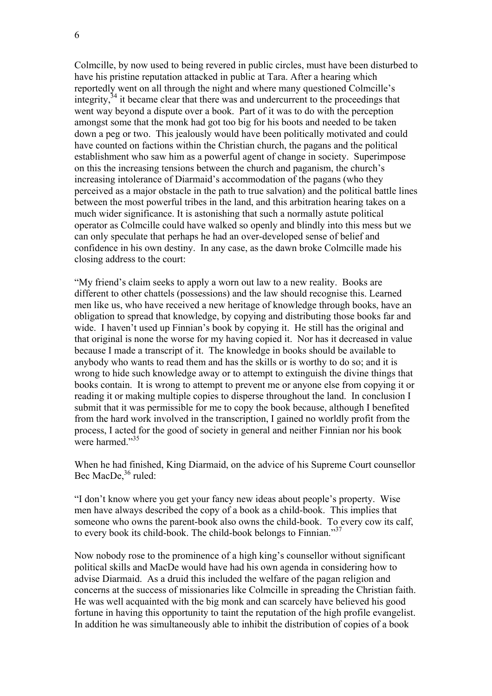Colmcille, by now used to being revered in public circles, must have been disturbed to have his pristine reputation attacked in public at Tara. After a hearing which reportedly went on all through the night and where many questioned Colmcille's integrity, $34$  it became clear that there was and undercurrent to the proceedings that went way beyond a dispute over a book. Part of it was to do with the perception amongst some that the monk had got too big for his boots and needed to be taken down a peg or two. This jealously would have been politically motivated and could have counted on factions within the Christian church, the pagans and the political establishment who saw him as a powerful agent of change in society. Superimpose on this the increasing tensions between the church and paganism, the church's increasing intolerance of Diarmaid's accommodation of the pagans (who they perceived as a major obstacle in the path to true salvation) and the political battle lines between the most powerful tribes in the land, and this arbitration hearing takes on a much wider significance. It is astonishing that such a normally astute political operator as Colmcille could have walked so openly and blindly into this mess but we can only speculate that perhaps he had an over-developed sense of belief and confidence in his own destiny. In any case, as the dawn broke Colmcille made his closing address to the court:

"My friend's claim seeks to apply a worn out law to a new reality. Books are different to other chattels (possessions) and the law should recognise this. Learned men like us, who have received a new heritage of knowledge through books, have an obligation to spread that knowledge, by copying and distributing those books far and wide. I haven't used up Finnian's book by copying it. He still has the original and that original is none the worse for my having copied it. Nor has it decreased in value because I made a transcript of it. The knowledge in books should be available to anybody who wants to read them and has the skills or is worthy to do so; and it is wrong to hide such knowledge away or to attempt to extinguish the divine things that books contain. It is wrong to attempt to prevent me or anyone else from copying it or reading it or making multiple copies to disperse throughout the land. In conclusion I submit that it was permissible for me to copy the book because, although I benefited from the hard work involved in the transcription, I gained no worldly profit from the process, I acted for the good of society in general and neither Finnian nor his book were harmed."<sup>35</sup>

When he had finished, King Diarmaid, on the advice of his Supreme Court counsellor Bec MacDe.<sup>36</sup> ruled:

"I don't know where you get your fancy new ideas about people's property. Wise men have always described the copy of a book as a child-book. This implies that someone who owns the parent-book also owns the child-book. To every cow its calf, to every book its child-book. The child-book belongs to Finnian."<sup>37</sup>

Now nobody rose to the prominence of a high king's counsellor without significant political skills and MacDe would have had his own agenda in considering how to advise Diarmaid. As a druid this included the welfare of the pagan religion and concerns at the success of missionaries like Colmcille in spreading the Christian faith. He was well acquainted with the big monk and can scarcely have believed his good fortune in having this opportunity to taint the reputation of the high profile evangelist. In addition he was simultaneously able to inhibit the distribution of copies of a book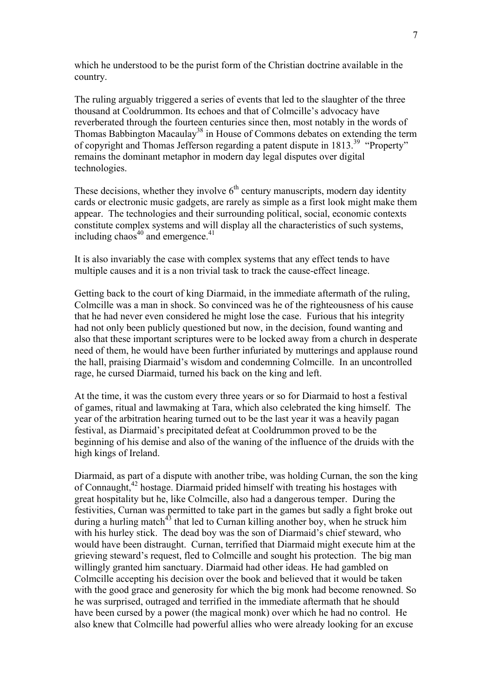which he understood to be the purist form of the Christian doctrine available in the country.

The ruling arguably triggered a series of events that led to the slaughter of the three thousand at Cooldrummon. Its echoes and that of Colmcille's advocacy have reverberated through the fourteen centuries since then, most notably in the words of Thomas Babbington Macaulay<sup>38</sup> in House of Commons debates on extending the term of copyright and Thomas Jefferson regarding a patent dispute in 1813.39 "Property" remains the dominant metaphor in modern day legal disputes over digital technologies.

These decisions, whether they involve  $6<sup>th</sup>$  century manuscripts, modern day identity cards or electronic music gadgets, are rarely as simple as a first look might make them appear. The technologies and their surrounding political, social, economic contexts constitute complex systems and will display all the characteristics of such systems, including chaos<sup> $40$ </sup> and emergence.<sup>41</sup>

It is also invariably the case with complex systems that any effect tends to have multiple causes and it is a non trivial task to track the cause-effect lineage.

Getting back to the court of king Diarmaid, in the immediate aftermath of the ruling, Colmcille was a man in shock. So convinced was he of the righteousness of his cause that he had never even considered he might lose the case. Furious that his integrity had not only been publicly questioned but now, in the decision, found wanting and also that these important scriptures were to be locked away from a church in desperate need of them, he would have been further infuriated by mutterings and applause round the hall, praising Diarmaid's wisdom and condemning Colmcille. In an uncontrolled rage, he cursed Diarmaid, turned his back on the king and left.

At the time, it was the custom every three years or so for Diarmaid to host a festival of games, ritual and lawmaking at Tara, which also celebrated the king himself. The year of the arbitration hearing turned out to be the last year it was a heavily pagan festival, as Diarmaid's precipitated defeat at Cooldrummon proved to be the beginning of his demise and also of the waning of the influence of the druids with the high kings of Ireland.

Diarmaid, as part of a dispute with another tribe, was holding Curnan, the son the king of Connaught,42 hostage. Diarmaid prided himself with treating his hostages with great hospitality but he, like Colmcille, also had a dangerous temper. During the festivities, Curnan was permitted to take part in the games but sadly a fight broke out during a hurling match<sup>43</sup> that led to Curnan killing another boy, when he struck him with his hurley stick. The dead boy was the son of Diarmaid's chief steward, who would have been distraught. Curnan, terrified that Diarmaid might execute him at the grieving steward's request, fled to Colmcille and sought his protection. The big man willingly granted him sanctuary. Diarmaid had other ideas. He had gambled on Colmcille accepting his decision over the book and believed that it would be taken with the good grace and generosity for which the big monk had become renowned. So he was surprised, outraged and terrified in the immediate aftermath that he should have been cursed by a power (the magical monk) over which he had no control. He also knew that Colmcille had powerful allies who were already looking for an excuse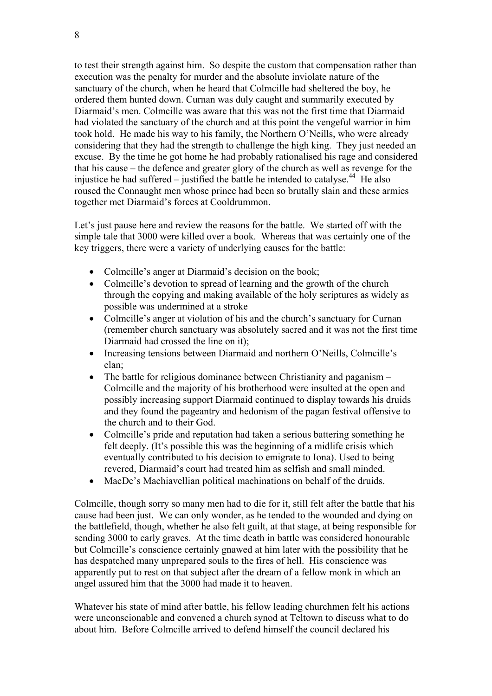to test their strength against him. So despite the custom that compensation rather than execution was the penalty for murder and the absolute inviolate nature of the sanctuary of the church, when he heard that Colmcille had sheltered the boy, he ordered them hunted down. Curnan was duly caught and summarily executed by Diarmaid's men. Colmcille was aware that this was not the first time that Diarmaid had violated the sanctuary of the church and at this point the vengeful warrior in him took hold. He made his way to his family, the Northern O'Neills, who were already considering that they had the strength to challenge the high king. They just needed an excuse. By the time he got home he had probably rationalised his rage and considered that his cause – the defence and greater glory of the church as well as revenge for the injustice he had suffered – justified the battle he intended to catalyse.<sup>44</sup> He also roused the Connaught men whose prince had been so brutally slain and these armies together met Diarmaid's forces at Cooldrummon.

Let's just pause here and review the reasons for the battle. We started off with the simple tale that 3000 were killed over a book. Whereas that was certainly one of the key triggers, there were a variety of underlying causes for the battle:

- Colmcille's anger at Diarmaid's decision on the book:
- Colmcille's devotion to spread of learning and the growth of the church through the copying and making available of the holy scriptures as widely as possible was undermined at a stroke
- Colmcille's anger at violation of his and the church's sanctuary for Curnan (remember church sanctuary was absolutely sacred and it was not the first time Diarmaid had crossed the line on it);
- Increasing tensions between Diarmaid and northern O'Neills, Colmcille's clan;
- The battle for religious dominance between Christianity and paganism Colmcille and the majority of his brotherhood were insulted at the open and possibly increasing support Diarmaid continued to display towards his druids and they found the pageantry and hedonism of the pagan festival offensive to the church and to their God.
- Colmcille's pride and reputation had taken a serious battering something he felt deeply. (It's possible this was the beginning of a midlife crisis which eventually contributed to his decision to emigrate to Iona). Used to being revered, Diarmaid's court had treated him as selfish and small minded.
- MacDe's Machiavellian political machinations on behalf of the druids.

Colmcille, though sorry so many men had to die for it, still felt after the battle that his cause had been just. We can only wonder, as he tended to the wounded and dying on the battlefield, though, whether he also felt guilt, at that stage, at being responsible for sending 3000 to early graves. At the time death in battle was considered honourable but Colmcille's conscience certainly gnawed at him later with the possibility that he has despatched many unprepared souls to the fires of hell. His conscience was apparently put to rest on that subject after the dream of a fellow monk in which an angel assured him that the 3000 had made it to heaven.

Whatever his state of mind after battle, his fellow leading churchmen felt his actions were unconscionable and convened a church synod at Teltown to discuss what to do about him. Before Colmcille arrived to defend himself the council declared his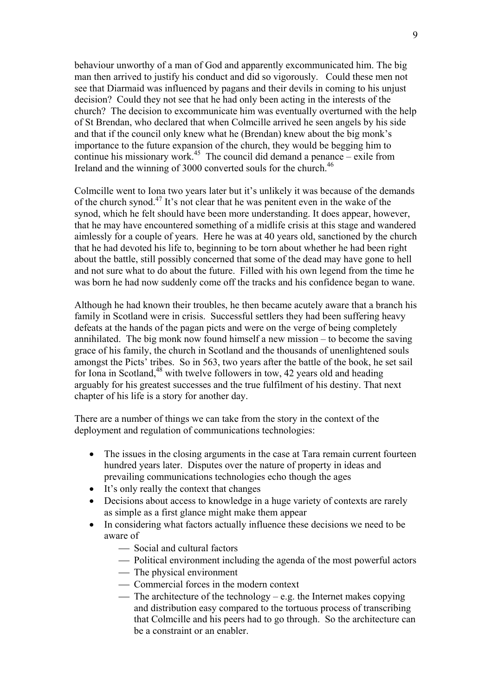behaviour unworthy of a man of God and apparently excommunicated him. The big man then arrived to justify his conduct and did so vigorously. Could these men not see that Diarmaid was influenced by pagans and their devils in coming to his unjust decision? Could they not see that he had only been acting in the interests of the church? The decision to excommunicate him was eventually overturned with the help of St Brendan, who declared that when Colmcille arrived he seen angels by his side and that if the council only knew what he (Brendan) knew about the big monk's importance to the future expansion of the church, they would be begging him to continue his missionary work.<sup>45</sup> The council did demand a penance – exile from Ireland and the winning of 3000 converted souls for the church.<sup>46</sup>

Colmcille went to Iona two years later but it's unlikely it was because of the demands of the church synod.47 It's not clear that he was penitent even in the wake of the synod, which he felt should have been more understanding. It does appear, however, that he may have encountered something of a midlife crisis at this stage and wandered aimlessly for a couple of years. Here he was at 40 years old, sanctioned by the church that he had devoted his life to, beginning to be torn about whether he had been right about the battle, still possibly concerned that some of the dead may have gone to hell and not sure what to do about the future. Filled with his own legend from the time he was born he had now suddenly come off the tracks and his confidence began to wane.

Although he had known their troubles, he then became acutely aware that a branch his family in Scotland were in crisis. Successful settlers they had been suffering heavy defeats at the hands of the pagan picts and were on the verge of being completely annihilated. The big monk now found himself a new mission – to become the saving grace of his family, the church in Scotland and the thousands of unenlightened souls amongst the Picts' tribes. So in 563, two years after the battle of the book, he set sail for Iona in Scotland, $48$  with twelve followers in tow, 42 years old and heading arguably for his greatest successes and the true fulfilment of his destiny. That next chapter of his life is a story for another day.

There are a number of things we can take from the story in the context of the deployment and regulation of communications technologies:

- The issues in the closing arguments in the case at Tara remain current fourteen hundred years later. Disputes over the nature of property in ideas and prevailing communications technologies echo though the ages
- It's only really the context that changes
- Decisions about access to knowledge in a huge variety of contexts are rarely as simple as a first glance might make them appear
- In considering what factors actually influence these decisions we need to be aware of
	- Social and cultural factors
	- Political environment including the agenda of the most powerful actors
	- The physical environment
	- Commercial forces in the modern context
	- The architecture of the technology e.g. the Internet makes copying and distribution easy compared to the tortuous process of transcribing that Colmcille and his peers had to go through. So the architecture can be a constraint or an enabler.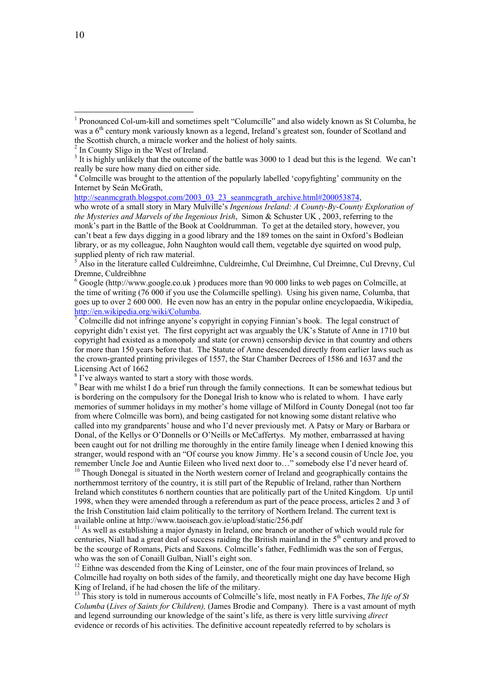<sup>5</sup> Also in the literature called Culdreimhne, Culdreimhe, Cul Dreimhne, Cul Dreimne, Cul Drevny, Cul Dremne, Culdreibhne

 $6660$  Google (http://www.google.co.uk) produces more than 90 000 links to web pages on Colmcille, at the time of writing (76 000 if you use the Col*u*mcille spelling). Using his given name, Columba, that goes up to over 2 600 000. He even now has an entry in the popular online encyclopaedia, Wikipedia, http://en.wikipedia.org/wiki/Columba.

 Colmcille did not infringe anyone's copyright in copying Finnian's book. The legal construct of copyright didn't exist yet. The first copyright act was arguably the UK's Statute of Anne in 1710 but copyright had existed as a monopoly and state (or crown) censorship device in that country and others for more than 150 years before that. The Statute of Anne descended directly from earlier laws such as the crown-granted printing privileges of 1557, the Star Chamber Decrees of 1586 and 1637 and the Licensing Act of 1662

<sup>8</sup> I've always wanted to start a story with those words.

<sup>9</sup> Bear with me whilst I do a brief run through the family connections. It can be somewhat tedious but is bordering on the compulsory for the Donegal Irish to know who is related to whom. I have early memories of summer holidays in my mother's home village of Milford in County Donegal (not too far from where Colmcille was born), and being castigated for not knowing some distant relative who called into my grandparents' house and who I'd never previously met. A Patsy or Mary or Barbara or Donal, of the Kellys or O'Donnells or O'Neills or McCaffertys. My mother, embarrassed at having been caught out for not drilling me thoroughly in the entire family lineage when I denied knowing this stranger, would respond with an "Of course you know Jimmy. He's a second cousin of Uncle Joe, you remember Uncle Joe and Auntie Eileen who lived next door to…" somebody else I'd never heard of.  $10$  Though Donegal is situated in the North western corner of Ireland and geographically contains the northernmost territory of the country, it is still part of the Republic of Ireland, rather than Northern Ireland which constitutes 6 northern counties that are politically part of the United Kingdom. Up until

1998, when they were amended through a referendum as part of the peace process, articles 2 and 3 of the Irish Constitution laid claim politically to the territory of Northern Ireland. The current text is available online at http://www.taoiseach.gov.ie/upload/static/256.pdf

 $11$  As well as establishing a major dynasty in Ireland, one branch or another of which would rule for centuries, Niall had a great deal of success raiding the British mainland in the 5<sup>th</sup> century and proved to be the scourge of Romans, Picts and Saxons. Colmcille's father, Fedhlimidh was the son of Fergus, who was the son of Conaill Gulban, Niall's eight son.

<sup>12</sup> Eithne was descended from the King of Leinster, one of the four main provinces of Ireland, so Colmcille had royalty on both sides of the family, and theoretically might one day have become High King of Ireland, if he had chosen the life of the military.

<sup>13</sup> This story is told in numerous accounts of Colmcille's life, most neatly in FA Forbes, *The life of St Columba* (*Lives of Saints for Children),* (James Brodie and Company). There is a vast amount of myth and legend surrounding our knowledge of the saint's life, as there is very little surviving *direct* evidence or records of his activities. The definitive account repeatedly referred to by scholars is

 $\overline{a}$ 

<sup>&</sup>lt;sup>1</sup> Pronounced Col-um-kill and sometimes spelt "Columcille" and also widely known as St Columba, he was a 6<sup>th</sup> century monk variously known as a legend, Ireland's greatest son, founder of Scotland and the Scottish church, a miracle worker and the holiest of holy saints.

<sup>&</sup>lt;sup>2</sup> In County Sligo in the West of Ireland.

 $3$  It is highly unlikely that the outcome of the battle was 3000 to 1 dead but this is the legend. We can't really be sure how many died on either side.

<sup>&</sup>lt;sup>4</sup> Colmcille was brought to the attention of the popularly labelled 'copyfighting' community on the Internet by Seán McGrath,

http://seanmcgrath.blogspot.com/2003\_03\_23\_seanmcgrath\_archive.html#200053874,

who wrote of a small story in Mary Mulville's *Ingenious Ireland: A County-By-County Exploration of the Mysteries and Marvels of the Ingenious Irish*, Simon & Schuster UK, 2003, referring to the monk's part in the Battle of the Book at Cooldrumman. To get at the detailed story, however, you can't beat a few days digging in a good library and the 189 tomes on the saint in Oxford's Bodleian library, or as my colleague, John Naughton would call them, vegetable dye squirted on wood pulp, supplied plenty of rich raw material.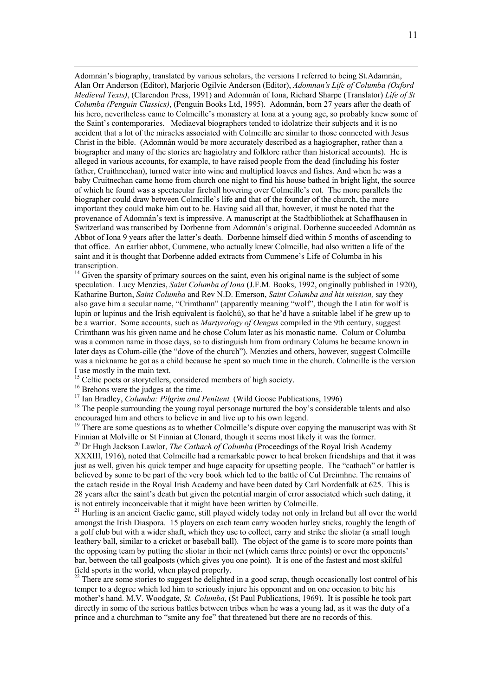Adomnán's biography, translated by various scholars, the versions I referred to being St.Adamnán, Alan Orr Anderson (Editor), Marjorie Ogilvie Anderson (Editor), *Adomnan's Life of Columba (Oxford Medieval Texts)*, (Clarendon Press, 1991) and Adomnán of Iona, Richard Sharpe (Translator) *Life of St Columba (Penguin Classics)*, (Penguin Books Ltd, 1995). Adomnán, born 27 years after the death of his hero, nevertheless came to Colmcille's monastery at Iona at a young age, so probably knew some of the Saint's contemporaries. Mediaeval biographers tended to idolatrize their subjects and it is no accident that a lot of the miracles associated with Colmcille are similar to those connected with Jesus Christ in the bible. (Adomnán would be more accurately described as a hagiographer, rather than a biographer and many of the stories are hagiolatry and folklore rather than historical accounts). He is alleged in various accounts, for example, to have raised people from the dead (including his foster father, Cruithnechan), turned water into wine and multiplied loaves and fishes. And when he was a baby Cruitnechan came home from church one night to find his house bathed in bright light, the source of which he found was a spectacular fireball hovering over Colmcille's cot. The more parallels the biographer could draw between Colmcille's life and that of the founder of the church, the more important they could make him out to be. Having said all that, however, it must be noted that the provenance of Adomnán's text is impressive. A manuscript at the Stadtbibliothek at Schaffhausen in Switzerland was transcribed by Dorbenne from Adomnán's original. Dorbenne succeeded Adomnán as Abbot of Iona 9 years after the latter's death. Dorbenne himself died within 5 months of ascending to that office. An earlier abbot, Cummene, who actually knew Colmcille, had also written a life of the saint and it is thought that Dorbenne added extracts from Cummene's Life of Columba in his transcription.

 $14$  Given the sparsity of primary sources on the saint, even his original name is the subject of some speculation. Lucy Menzies, *Saint Columba of Iona* (J.F.M. Books, 1992, originally published in 1920), Katharine Burton, *Saint Columba* and Rev N.D. Emerson, *Saint Columba and his mission,* say they also gave him a secular name, "Crimthann" (apparently meaning "wolf", though the Latin for wolf is lupin or lupinus and the Irish equivalent is faolchú), so that he'd have a suitable label if he grew up to be a warrior. Some accounts, such as *Martyrology of Oengus* compiled in the 9th century, suggest Crimthann was his given name and he chose Colum later as his monastic name. Colum or Columba was a common name in those days, so to distinguish him from ordinary Colums he became known in later days as Colum-cille (the "dove of the church"). Menzies and others, however, suggest Colmcille was a nickname he got as a child because he spent so much time in the church. Colmcille is the version I use mostly in the main text.

<sup>15</sup> Celtic poets or storytellers, considered members of high society.

<sup>16</sup> Brehons were the judges at the time.<br><sup>17</sup> Ian Bradley, *Columba: Pilgrim and Penitent*, (Wild Goose Publications, 1996)

<sup>18</sup> The people surrounding the young royal personage nurtured the boy's considerable talents and also encouraged him and others to believe in and live up to his own legend.

<sup>19</sup> There are some questions as to whether Colmcille's dispute over copying the manuscript was with St Finnian at Molville or St Finnian at Clonard, though it seems most likely it was the former.

20 Dr Hugh Jackson Lawlor, *The Cathach of Columba* (Proceedings of the Royal Irish Academy XXXIII, 1916), noted that Colmcille had a remarkable power to heal broken friendships and that it was just as well, given his quick temper and huge capacity for upsetting people. The "cathach" or battler is believed by some to be part of the very book which led to the battle of Cul Dreimhne. The remains of the catach reside in the Royal Irish Academy and have been dated by Carl Nordenfalk at 625. This is 28 years after the saint's death but given the potential margin of error associated which such dating, it is not entirely inconceivable that it might have been written by Colmcille.

<sup>21</sup> Hurling is an ancient Gaelic game, still played widely today not only in Ireland but all over the world amongst the Irish Diaspora. 15 players on each team carry wooden hurley sticks, roughly the length of a golf club but with a wider shaft, which they use to collect, carry and strike the sliotar (a small tough leathery ball, similar to a cricket or baseball ball). The object of the game is to score more points than the opposing team by putting the sliotar in their net (which earns three points) or over the opponents' bar, between the tall goalposts (which gives you one point). It is one of the fastest and most skilful field sports in the world, when played properly.<br><sup>22</sup> There are some stories to suggest he delighted in a good scrap, though occasionally lost control of his

temper to a degree which led him to seriously injure his opponent and on one occasion to bite his mother's hand. M.V. Woodgate, *St. Columba*, (St Paul Publications, 1969). It is possible he took part directly in some of the serious battles between tribes when he was a young lad, as it was the duty of a prince and a churchman to "smite any foe" that threatened but there are no records of this.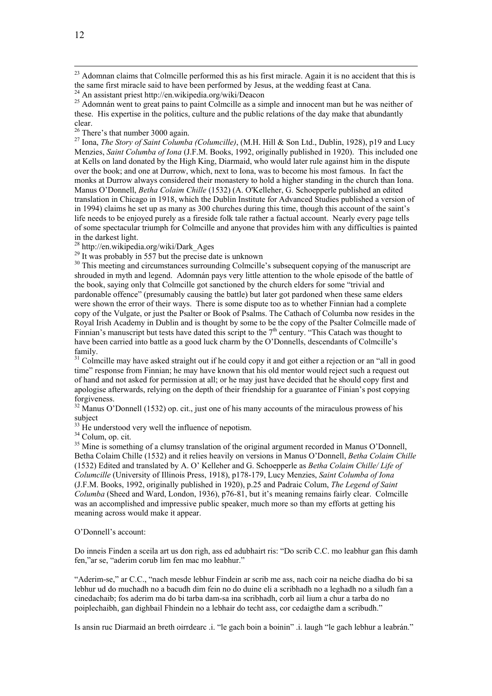<sup>23</sup> Adomnan claims that Colmcille performed this as his first miracle. Again it is no accident that this is the same first miracle said to have been performed by Jesus, at the wedding feast at Cana.

<sup>25</sup> Adomnán went to great pains to paint Colmcille as a simple and innocent man but he was neither of these. His expertise in the politics, culture and the public relations of the day make that abundantly clear.<br> $26$  There's that number 3000 again.

<sup>27</sup> Iona. *The Story of Saint Columba (Columcille)*, (M.H. Hill & Son Ltd., Dublin, 1928), p19 and Lucy Menzies, *Saint Columba of Iona* (J.F.M. Books, 1992, originally published in 1920). This included one at Kells on land donated by the High King, Diarmaid, who would later rule against him in the dispute over the book; and one at Durrow, which, next to Iona, was to become his most famous. In fact the monks at Durrow always considered their monastery to hold a higher standing in the church than Iona. Manus O'Donnell, *Betha Colaim Chille* (1532) (A. O'Kelleher, G. Schoepperle published an edited translation in Chicago in 1918, which the Dublin Institute for Advanced Studies published a version of in 1994) claims he set up as many as 300 churches during this time, though this account of the saint's life needs to be enjoyed purely as a fireside folk tale rather a factual account. Nearly every page tells of some spectacular triumph for Colmcille and anyone that provides him with any difficulties is painted in the darkest light.

28 http://en.wikipedia.org/wiki/Dark\_Ages

<sup>29</sup> It was probably in 557 but the precise date is unknown

<sup>30</sup> This meeting and circumstances surrounding Colmcille's subsequent copying of the manuscript are shrouded in myth and legend. Adomnán pays very little attention to the whole episode of the battle of the book, saying only that Colmcille got sanctioned by the church elders for some "trivial and pardonable offence" (presumably causing the battle) but later got pardoned when these same elders were shown the error of their ways. There is some dispute too as to whether Finnian had a complete copy of the Vulgate, or just the Psalter or Book of Psalms. The Cathach of Columba now resides in the Royal Irish Academy in Dublin and is thought by some to be the copy of the Psalter Colmcille made of Finnian's manuscript but tests have dated this script to the  $7<sup>th</sup>$  century. "This Catach was thought to have been carried into battle as a good luck charm by the O'Donnells, descendants of Colmcille's family.

<sup>31</sup> Colmcille may have asked straight out if he could copy it and got either a rejection or an "all in good time" response from Finnian; he may have known that his old mentor would reject such a request out of hand and not asked for permission at all; or he may just have decided that he should copy first and apologise afterwards, relying on the depth of their friendship for a guarantee of Finian's post copying forgiveness.

 $32$  Manus O'Donnell (1532) op. cit., just one of his many accounts of the miraculous prowess of his subject

 $33$  He understood very well the influence of nepotism.

<sup>34</sup> Colum, op. cit.

<sup>35</sup> Mine is something of a clumsy translation of the original argument recorded in Manus O'Donnell, Betha Colaim Chille (1532) and it relies heavily on versions in Manus O'Donnell, *Betha Colaim Chille* (1532) Edited and translated by A. O' Kelleher and G. Schoepperle as *Betha Colaim Chille/ Life of Columcille* (University of Illinois Press, 1918), p178-179, Lucy Menzies, *Saint Columba of Iona* (J.F.M. Books, 1992, originally published in 1920), p.25 and Padraic Colum, *The Legend of Saint Columba* (Sheed and Ward, London, 1936), p76-81, but it's meaning remains fairly clear. Colmcille was an accomplished and impressive public speaker, much more so than my efforts at getting his meaning across would make it appear.

O'Donnell's account:

Do inneis Finden a sceila art us don righ, ass ed adubhairt ris: "Do scrib C.C. mo leabhur gan fhis damh fen,"ar se, "aderim corub lim fen mac mo leabhur."

"Aderim-se," ar C.C., "nach mesde lebhur Findein ar scrib me ass, nach coir na neiche diadha do bi sa lebhur ud do muchadh no a bacudh dim fein no do duine eli a scribhadh no a leghadh no a siludh fan a cinedachaib; fos aderim ma do bi tarba dam-sa ina scribhadh, corb ail lium a chur a tarba do no poiplechaibh, gan dighbail Fhindein no a lebhair do techt ass, cor cedaigthe dam a scribudh."

Is ansin ruc Diarmaid an breth oirrdearc .i. "le gach boin a boinin" .i. laugh "le gach lebhur a leabrán."

<sup>24</sup> An assistant priest http://en.wikipedia.org/wiki/Deacon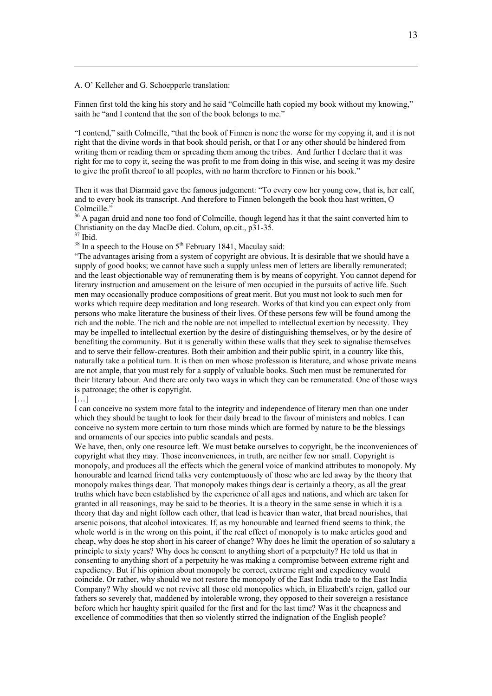A. O' Kelleher and G. Schoepperle translation:

Finnen first told the king his story and he said "Colmcille hath copied my book without my knowing," saith he "and I contend that the son of the book belongs to me."

"I contend," saith Colmcille, "that the book of Finnen is none the worse for my copying it, and it is not right that the divine words in that book should perish, or that I or any other should be hindered from writing them or reading them or spreading them among the tribes. And further I declare that it was right for me to copy it, seeing the was profit to me from doing in this wise, and seeing it was my desire to give the profit thereof to all peoples, with no harm therefore to Finnen or his book."

Then it was that Diarmaid gave the famous judgement: "To every cow her young cow, that is, her calf, and to every book its transcript. And therefore to Finnen belongeth the book thou hast written, O Colmcille.'

<sup>36</sup> A pagan druid and none too fond of Colmcille, though legend has it that the saint converted him to Christianity on the day MacDe died. Colum, op.cit., p31-35.

 $37$  Ibid.

 $\overline{a}$ 

 $38$  In a speech to the House on  $5<sup>th</sup>$  February 1841, Maculay said:

"The advantages arising from a system of copyright are obvious. It is desirable that we should have a supply of good books; we cannot have such a supply unless men of letters are liberally remunerated; and the least objectionable way of remunerating them is by means of copyright. You cannot depend for literary instruction and amusement on the leisure of men occupied in the pursuits of active life. Such men may occasionally produce compositions of great merit. But you must not look to such men for works which require deep meditation and long research. Works of that kind you can expect only from persons who make literature the business of their lives. Of these persons few will be found among the rich and the noble. The rich and the noble are not impelled to intellectual exertion by necessity. They may be impelled to intellectual exertion by the desire of distinguishing themselves, or by the desire of benefiting the community. But it is generally within these walls that they seek to signalise themselves and to serve their fellow-creatures. Both their ambition and their public spirit, in a country like this, naturally take a political turn. It is then on men whose profession is literature, and whose private means are not ample, that you must rely for a supply of valuable books. Such men must be remunerated for their literary labour. And there are only two ways in which they can be remunerated. One of those ways is patronage; the other is copyright.

[…]

I can conceive no system more fatal to the integrity and independence of literary men than one under which they should be taught to look for their daily bread to the favour of ministers and nobles. I can conceive no system more certain to turn those minds which are formed by nature to be the blessings and ornaments of our species into public scandals and pests.

We have, then, only one resource left. We must betake ourselves to copyright, be the inconveniences of copyright what they may. Those inconveniences, in truth, are neither few nor small. Copyright is monopoly, and produces all the effects which the general voice of mankind attributes to monopoly. My honourable and learned friend talks very contemptuously of those who are led away by the theory that monopoly makes things dear. That monopoly makes things dear is certainly a theory, as all the great truths which have been established by the experience of all ages and nations, and which are taken for granted in all reasonings, may be said to be theories. It is a theory in the same sense in which it is a theory that day and night follow each other, that lead is heavier than water, that bread nourishes, that arsenic poisons, that alcohol intoxicates. If, as my honourable and learned friend seems to think, the whole world is in the wrong on this point, if the real effect of monopoly is to make articles good and cheap, why does he stop short in his career of change? Why does he limit the operation of so salutary a principle to sixty years? Why does he consent to anything short of a perpetuity? He told us that in consenting to anything short of a perpetuity he was making a compromise between extreme right and expediency. But if his opinion about monopoly be correct, extreme right and expediency would coincide. Or rather, why should we not restore the monopoly of the East India trade to the East India Company? Why should we not revive all those old monopolies which, in Elizabeth's reign, galled our fathers so severely that, maddened by intolerable wrong, they opposed to their sovereign a resistance before which her haughty spirit quailed for the first and for the last time? Was it the cheapness and excellence of commodities that then so violently stirred the indignation of the English people?